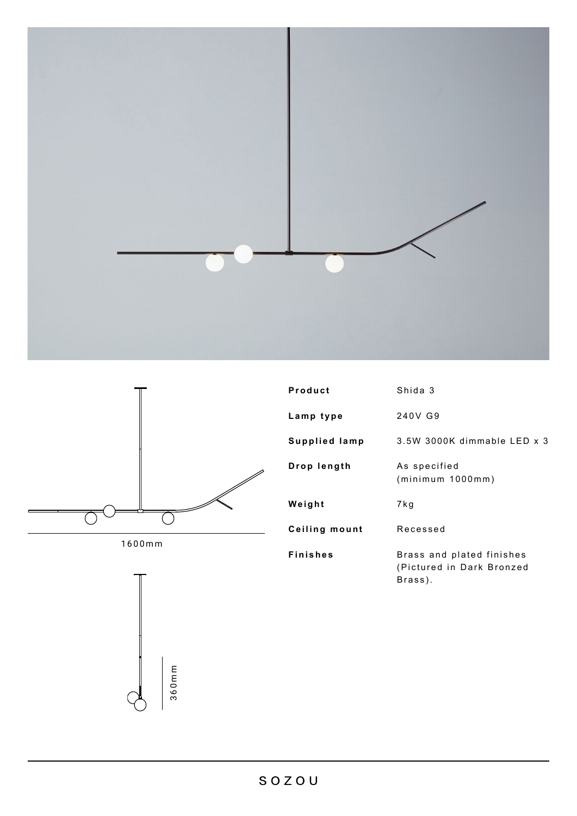



1600mm



| Product       | Shida 3                                                           |
|---------------|-------------------------------------------------------------------|
| Lamp type     | 240V G9                                                           |
| Supplied lamp | $3.5W$ 3000K dimmable LED $x$ 3                                   |
| Drop length   | As specified<br>(minimum 1000mm)                                  |
| Weight        | 7 k g                                                             |
| Ceiling mount | Recessed                                                          |
| Finishes      | Brass and plated finishes<br>(Pictured in Dark Bronzed<br>Brass). |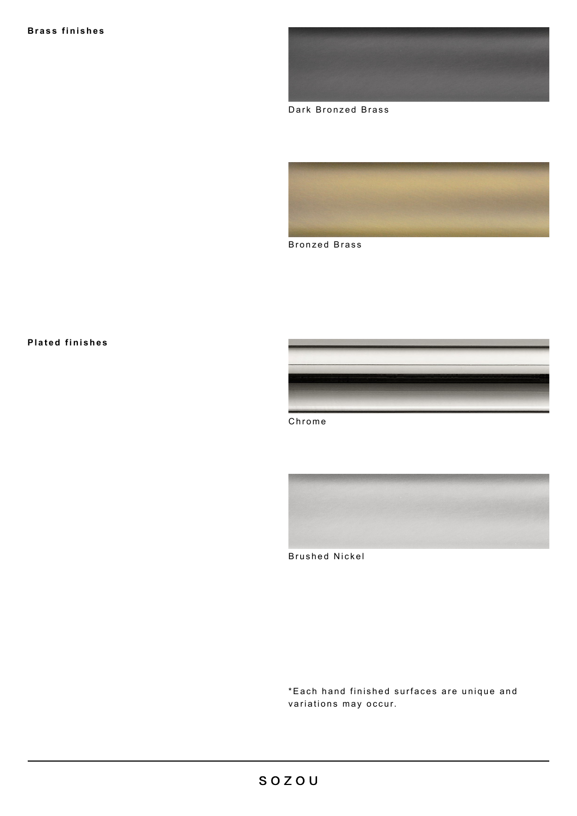

Dark Bronzed Brass



Bronzed Brass

## **Plated finishes**











\* Each hand finished surfaces are unique and variations may occur.



Chrome



Brushed Nickel